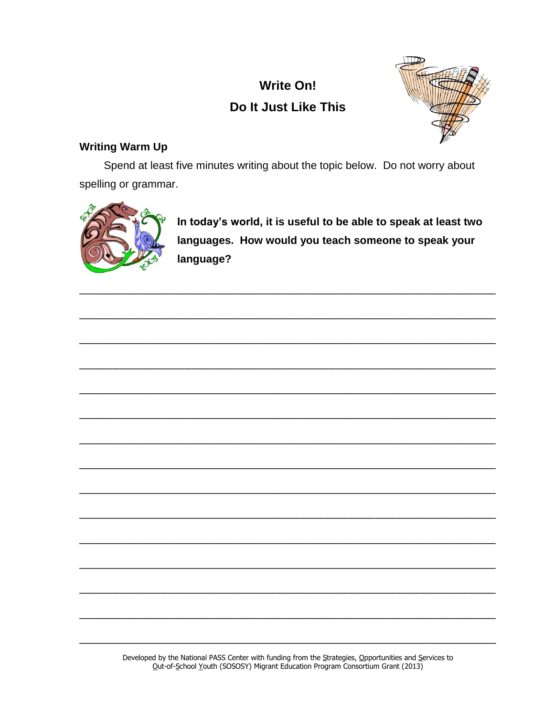# **Write On!** Do It Just Like This



# **Writing Warm Up**

Spend at least five minutes writing about the topic below. Do not worry about spelling or grammar.



In today's world, it is useful to be able to speak at least two languages. How would you teach someone to speak your language?

Developed by the National PASS Center with funding from the Strategies, Opportunities and Services to Out-of-School Youth (SOSOSY) Migrant Education Program Consortium Grant (2013)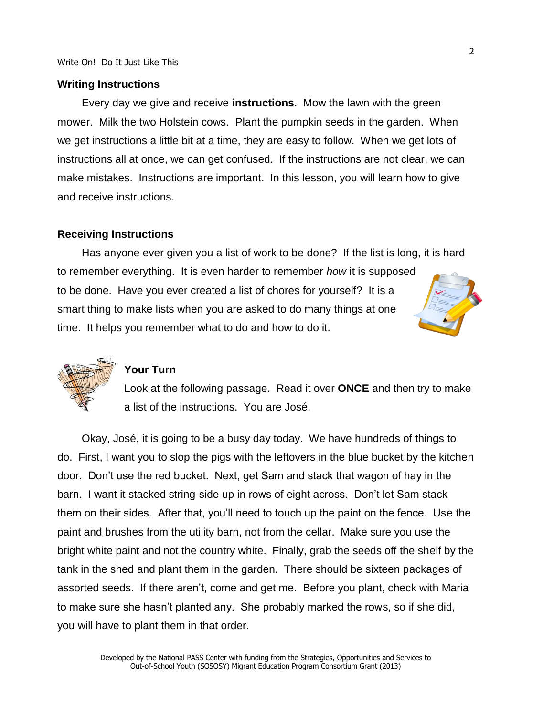#### **Writing Instructions**

Every day we give and receive **instructions**. Mow the lawn with the green mower. Milk the two Holstein cows. Plant the pumpkin seeds in the garden. When we get instructions a little bit at a time, they are easy to follow. When we get lots of instructions all at once, we can get confused. If the instructions are not clear, we can make mistakes. Instructions are important. In this lesson, you will learn how to give and receive instructions.

#### **Receiving Instructions**

Has anyone ever given you a list of work to be done? If the list is long, it is hard to remember everything. It is even harder to remember *how* it is supposed to be done. Have you ever created a list of chores for yourself? It is a smart thing to make lists when you are asked to do many things at one time. It helps you remember what to do and how to do it.





### **Your Turn**

Look at the following passage. Read it over **ONCE** and then try to make a list of the instructions. You are José.

Okay, José, it is going to be a busy day today. We have hundreds of things to do. First, I want you to slop the pigs with the leftovers in the blue bucket by the kitchen door. Don't use the red bucket. Next, get Sam and stack that wagon of hay in the barn. I want it stacked string-side up in rows of eight across. Don't let Sam stack them on their sides. After that, you'll need to touch up the paint on the fence. Use the paint and brushes from the utility barn, not from the cellar. Make sure you use the bright white paint and not the country white. Finally, grab the seeds off the shelf by the tank in the shed and plant them in the garden. There should be sixteen packages of assorted seeds. If there aren't, come and get me. Before you plant, check with Maria to make sure she hasn't planted any. She probably marked the rows, so if she did, you will have to plant them in that order.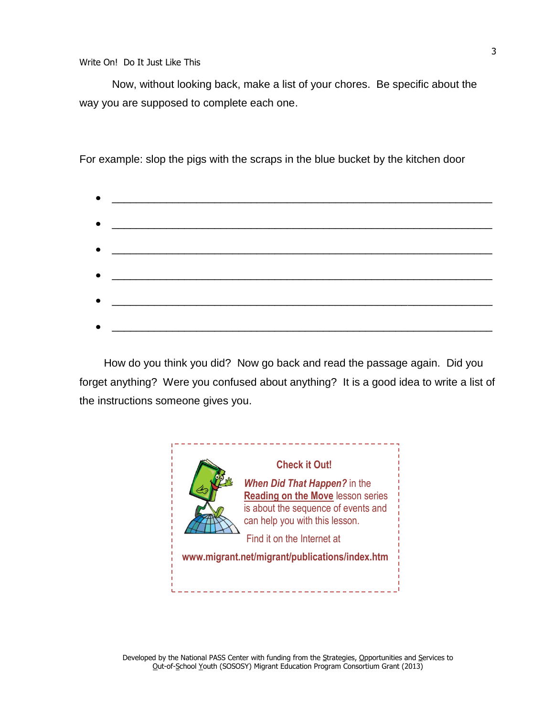Now, without looking back, make a list of your chores. Be specific about the way you are supposed to complete each one.

For example: slop the pigs with the scraps in the blue bucket by the kitchen door

|           | $\bullet$ $\hspace{1.5cm}$                                                                                                                                                                                                         |  |  |
|-----------|------------------------------------------------------------------------------------------------------------------------------------------------------------------------------------------------------------------------------------|--|--|
|           |                                                                                                                                                                                                                                    |  |  |
|           | $\bullet$ . The contract of the contract of the contract of the contract of the contract of the contract of the contract of the contract of the contract of the contract of the contract of the contract of the contract of the co |  |  |
|           |                                                                                                                                                                                                                                    |  |  |
|           |                                                                                                                                                                                                                                    |  |  |
|           |                                                                                                                                                                                                                                    |  |  |
|           | $\bullet$                                                                                                                                                                                                                          |  |  |
|           |                                                                                                                                                                                                                                    |  |  |
|           |                                                                                                                                                                                                                                    |  |  |
| $\bullet$ | <u> 1980 - Johann Barn, mars ann an t-Amhain ann an t-Amhain an t-Amhain an t-Amhain an t-Amhain an t-Amhain an t-</u>                                                                                                             |  |  |

How do you think you did? Now go back and read the passage again. Did you forget anything? Were you confused about anything? It is a good idea to write a list of the instructions someone gives you.

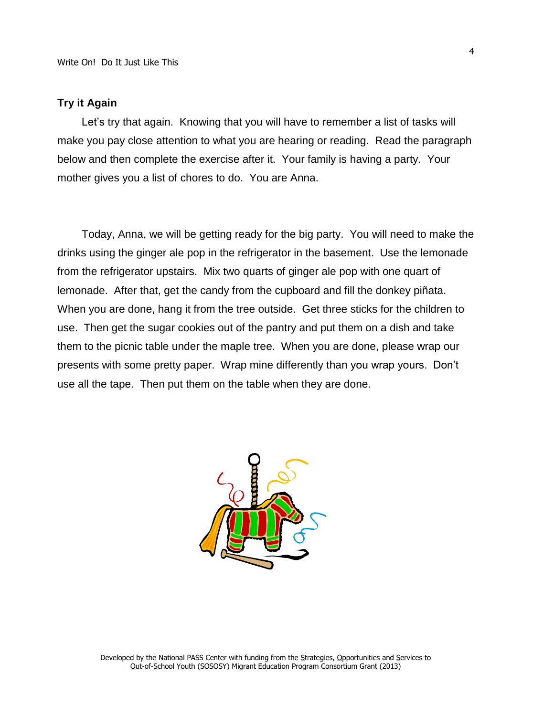#### **Try it Again**

Let's try that again. Knowing that you will have to remember a list of tasks will make you pay close attention to what you are hearing or reading. Read the paragraph below and then complete the exercise after it. Your family is having a party. Your mother gives you a list of chores to do. You are Anna.

Today, Anna, we will be getting ready for the big party. You will need to make the drinks using the ginger ale pop in the refrigerator in the basement. Use the lemonade from the refrigerator upstairs. Mix two quarts of ginger ale pop with one quart of lemonade. After that, get the candy from the cupboard and fill the donkey piñata. When you are done, hang it from the tree outside. Get three sticks for the children to use. Then get the sugar cookies out of the pantry and put them on a dish and take them to the picnic table under the maple tree. When you are done, please wrap our presents with some pretty paper. Wrap mine differently than you wrap yours. Don't use all the tape. Then put them on the table when they are done.

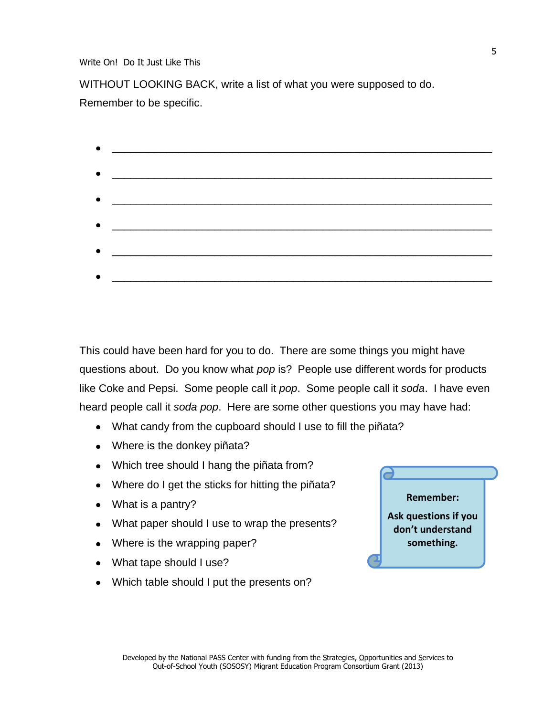Write On! Do It Just Like This

WITHOUT LOOKING BACK, write a list of what you were supposed to do. Remember to be specific.

| <u> La componenta de la contrada de la contrada de la contrada de la contrada de la contrada de la contrada de l</u> |  |  |  |
|----------------------------------------------------------------------------------------------------------------------|--|--|--|
|                                                                                                                      |  |  |  |
|                                                                                                                      |  |  |  |
|                                                                                                                      |  |  |  |
|                                                                                                                      |  |  |  |
|                                                                                                                      |  |  |  |
|                                                                                                                      |  |  |  |
|                                                                                                                      |  |  |  |
| <u> 2000 - Jan James James Jan James James James James James James James James James James James James James Jam</u> |  |  |  |
|                                                                                                                      |  |  |  |
|                                                                                                                      |  |  |  |
|                                                                                                                      |  |  |  |

This could have been hard for you to do. There are some things you might have questions about. Do you know what *pop* is? People use different words for products like Coke and Pepsi. Some people call it *pop*. Some people call it *soda*. I have even heard people call it *soda pop*. Here are some other questions you may have had:

- What candy from the cupboard should I use to fill the piñata?
- Where is the donkey piñata?
- Which tree should I hang the piñata from?
- Where do I get the sticks for hitting the piñata?
- What is a pantry?
- What paper should I use to wrap the presents?
- Where is the wrapping paper?
- What tape should I use?
- Which table should I put the presents on?

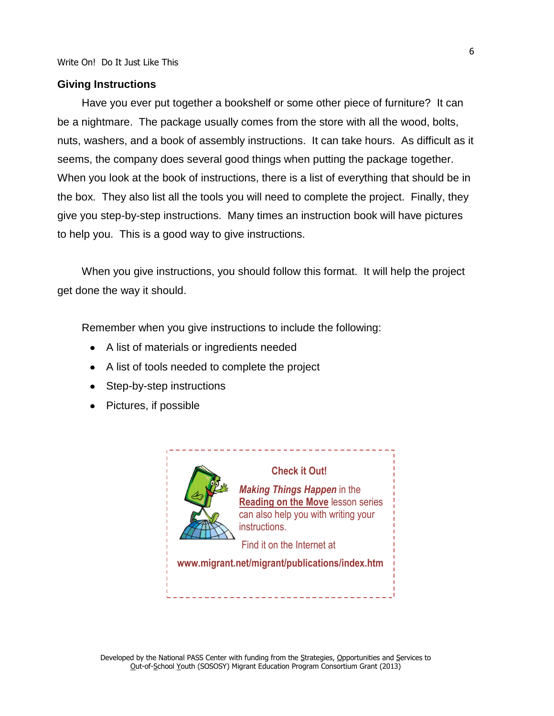#### **Giving Instructions**

Have you ever put together a bookshelf or some other piece of furniture? It can be a nightmare. The package usually comes from the store with all the wood, bolts, nuts, washers, and a book of assembly instructions. It can take hours. As difficult as it seems, the company does several good things when putting the package together. When you look at the book of instructions, there is a list of everything that should be in the box. They also list all the tools you will need to complete the project. Finally, they give you step-by-step instructions. Many times an instruction book will have pictures to help you. This is a good way to give instructions.

When you give instructions, you should follow this format. It will help the project get done the way it should.

Remember when you give instructions to include the following:

- A list of materials or ingredients needed
- A list of tools needed to complete the project
- Step-by-step instructions
- Pictures, if possible



#### **Check it Out!**

*Making Things Happen* in the **Reading on the Move** lesson series can also help you with writing your instructions.

Find it on the Internet at

**www.migrant.net/migrant/publications/index.htm**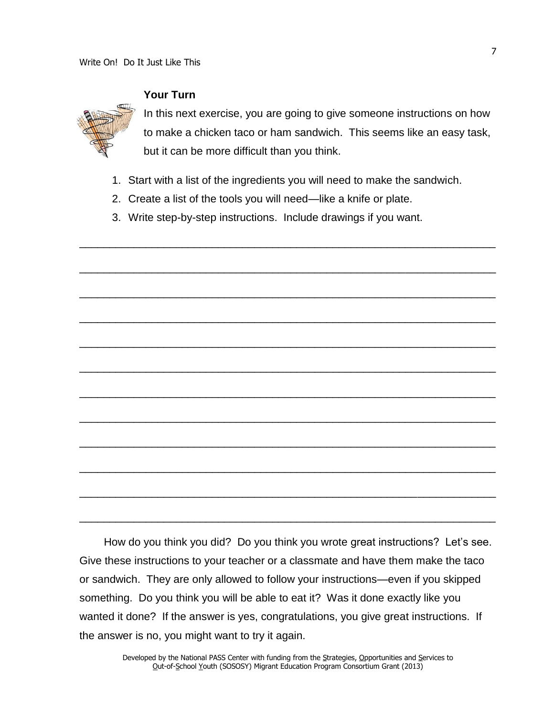

## **Your Turn**

In this next exercise, you are going to give someone instructions on how to make a chicken taco or ham sandwich. This seems like an easy task, but it can be more difficult than you think.

1. Start with a list of the ingredients you will need to make the sandwich.

\_\_\_\_\_\_\_\_\_\_\_\_\_\_\_\_\_\_\_\_\_\_\_\_\_\_\_\_\_\_\_\_\_\_\_\_\_\_\_\_\_\_\_\_\_\_\_\_\_\_\_\_\_\_\_\_\_\_\_\_\_\_\_\_\_\_\_\_\_

\_\_\_\_\_\_\_\_\_\_\_\_\_\_\_\_\_\_\_\_\_\_\_\_\_\_\_\_\_\_\_\_\_\_\_\_\_\_\_\_\_\_\_\_\_\_\_\_\_\_\_\_\_\_\_\_\_\_\_\_\_\_\_\_\_\_\_\_\_

\_\_\_\_\_\_\_\_\_\_\_\_\_\_\_\_\_\_\_\_\_\_\_\_\_\_\_\_\_\_\_\_\_\_\_\_\_\_\_\_\_\_\_\_\_\_\_\_\_\_\_\_\_\_\_\_\_\_\_\_\_\_\_\_\_\_\_\_\_

\_\_\_\_\_\_\_\_\_\_\_\_\_\_\_\_\_\_\_\_\_\_\_\_\_\_\_\_\_\_\_\_\_\_\_\_\_\_\_\_\_\_\_\_\_\_\_\_\_\_\_\_\_\_\_\_\_\_\_\_\_\_\_\_\_\_\_\_\_

\_\_\_\_\_\_\_\_\_\_\_\_\_\_\_\_\_\_\_\_\_\_\_\_\_\_\_\_\_\_\_\_\_\_\_\_\_\_\_\_\_\_\_\_\_\_\_\_\_\_\_\_\_\_\_\_\_\_\_\_\_\_\_\_\_\_\_\_\_

\_\_\_\_\_\_\_\_\_\_\_\_\_\_\_\_\_\_\_\_\_\_\_\_\_\_\_\_\_\_\_\_\_\_\_\_\_\_\_\_\_\_\_\_\_\_\_\_\_\_\_\_\_\_\_\_\_\_\_\_\_\_\_\_\_\_\_\_\_

\_\_\_\_\_\_\_\_\_\_\_\_\_\_\_\_\_\_\_\_\_\_\_\_\_\_\_\_\_\_\_\_\_\_\_\_\_\_\_\_\_\_\_\_\_\_\_\_\_\_\_\_\_\_\_\_\_\_\_\_\_\_\_\_\_\_\_\_\_

\_\_\_\_\_\_\_\_\_\_\_\_\_\_\_\_\_\_\_\_\_\_\_\_\_\_\_\_\_\_\_\_\_\_\_\_\_\_\_\_\_\_\_\_\_\_\_\_\_\_\_\_\_\_\_\_\_\_\_\_\_\_\_\_\_\_\_\_\_

\_\_\_\_\_\_\_\_\_\_\_\_\_\_\_\_\_\_\_\_\_\_\_\_\_\_\_\_\_\_\_\_\_\_\_\_\_\_\_\_\_\_\_\_\_\_\_\_\_\_\_\_\_\_\_\_\_\_\_\_\_\_\_\_\_\_\_\_\_

\_\_\_\_\_\_\_\_\_\_\_\_\_\_\_\_\_\_\_\_\_\_\_\_\_\_\_\_\_\_\_\_\_\_\_\_\_\_\_\_\_\_\_\_\_\_\_\_\_\_\_\_\_\_\_\_\_\_\_\_\_\_\_\_\_\_\_\_\_

\_\_\_\_\_\_\_\_\_\_\_\_\_\_\_\_\_\_\_\_\_\_\_\_\_\_\_\_\_\_\_\_\_\_\_\_\_\_\_\_\_\_\_\_\_\_\_\_\_\_\_\_\_\_\_\_\_\_\_\_\_\_\_\_\_\_\_\_\_

\_\_\_\_\_\_\_\_\_\_\_\_\_\_\_\_\_\_\_\_\_\_\_\_\_\_\_\_\_\_\_\_\_\_\_\_\_\_\_\_\_\_\_\_\_\_\_\_\_\_\_\_\_\_\_\_\_\_\_\_\_\_\_\_\_\_\_\_\_

- 2. Create a list of the tools you will need—like a knife or plate.
- 3. Write step-by-step instructions. Include drawings if you want.

How do you think you did? Do you think you wrote great instructions? Let's see. Give these instructions to your teacher or a classmate and have them make the taco or sandwich. They are only allowed to follow your instructions—even if you skipped something. Do you think you will be able to eat it? Was it done exactly like you wanted it done? If the answer is yes, congratulations, you give great instructions. If the answer is no, you might want to try it again.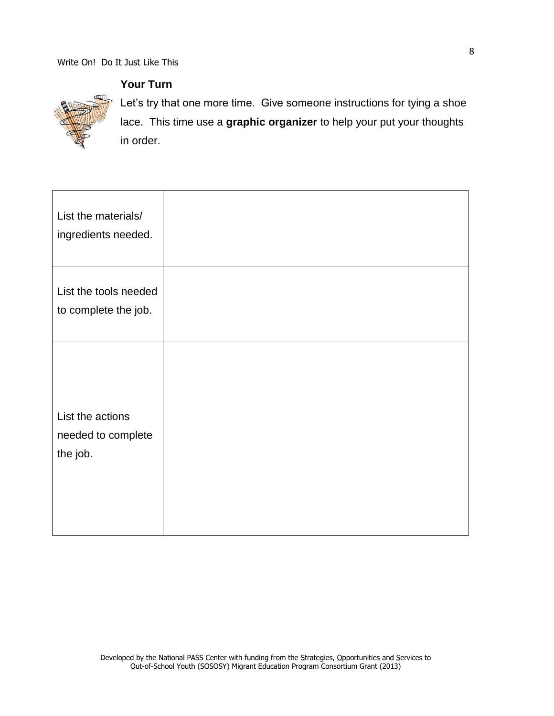**Your Turn**



Let's try that one more time. Give someone instructions for tying a shoe lace. This time use a **graphic organizer** to help your put your thoughts in order.

| List the materials/<br>ingredients needed.         |  |
|----------------------------------------------------|--|
| List the tools needed<br>to complete the job.      |  |
| List the actions<br>needed to complete<br>the job. |  |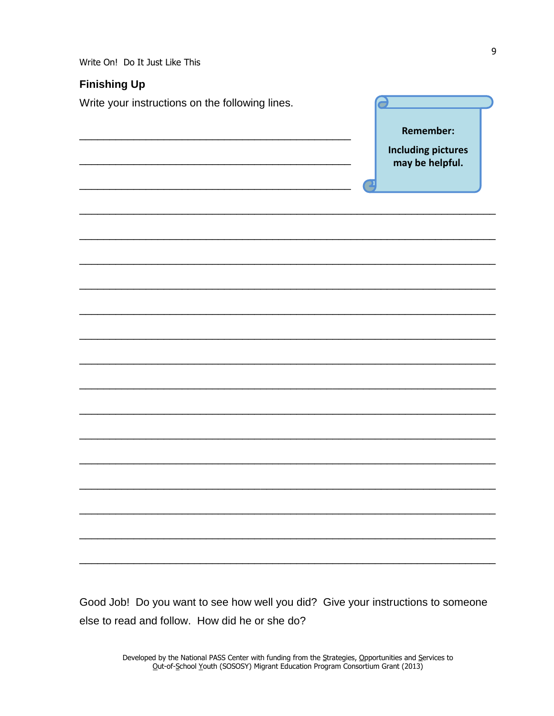Write On! Do It Just Like This

# **Finishing Up**

Write your instructions on the following lines.

| п | Remember:<br><b>Including pictures</b><br>may be helpful. |
|---|-----------------------------------------------------------|
|   |                                                           |
|   |                                                           |
|   |                                                           |
|   |                                                           |
|   |                                                           |
|   |                                                           |
|   |                                                           |
|   |                                                           |
|   |                                                           |
|   |                                                           |
|   |                                                           |
|   |                                                           |
|   |                                                           |
|   |                                                           |
|   |                                                           |

Good Job! Do you want to see how well you did? Give your instructions to someone else to read and follow. How did he or she do?

 $\theta$